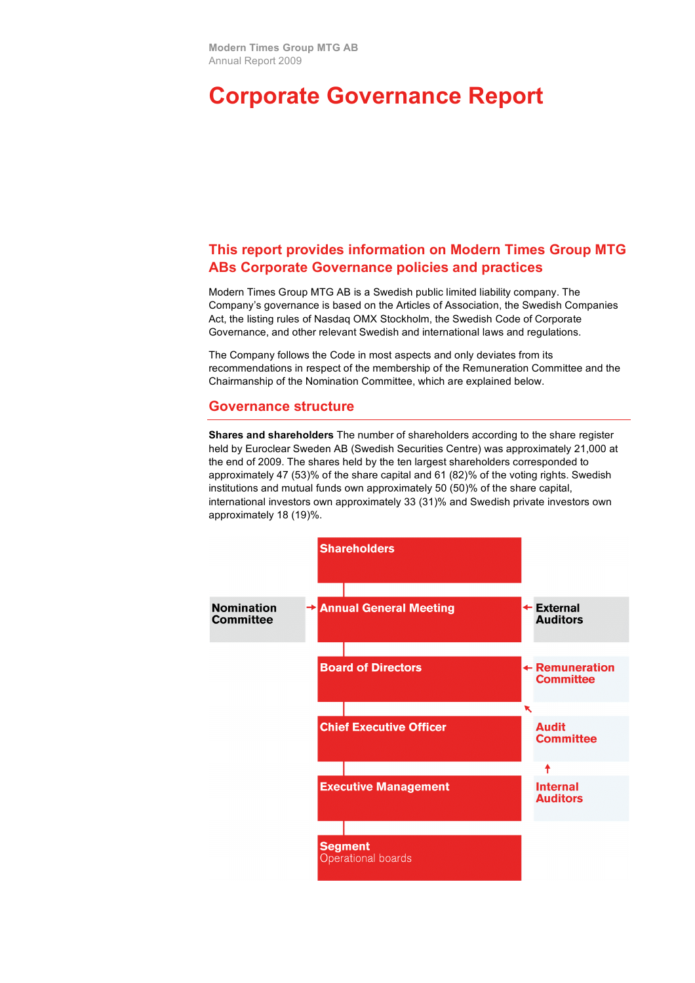# **Corporate Governance Report**

# **This report provides information on Modern Times Group MTG ABs Corporate Governance policies and practices**

Modern Times Group MTG AB is a Swedish public limited liability company. The Company's governance is based on the Articles of Association, the Swedish Companies Act, the listing rules of Nasdaq OMX Stockholm, the Swedish Code of Corporate Governance, and other relevant Swedish and international laws and regulations.

The Company follows the Code in most aspects and only deviates from its recommendations in respect of the membership of the Remuneration Committee and the Chairmanship of the Nomination Committee, which are explained below.

#### **Governance structure**

**Shares and shareholders** The number of shareholders according to the share register held by Euroclear Sweden AB (Swedish Securities Centre) was approximately 21,000 at the end of 2009. The shares held by the ten largest shareholders corresponded to approximately 47 (53)% of the share capital and 61 (82)% of the voting rights. Swedish institutions and mutual funds own approximately 50 (50)% of the share capital, international investors own approximately 33 (31)% and Swedish private investors own approximately 18 (19)%.

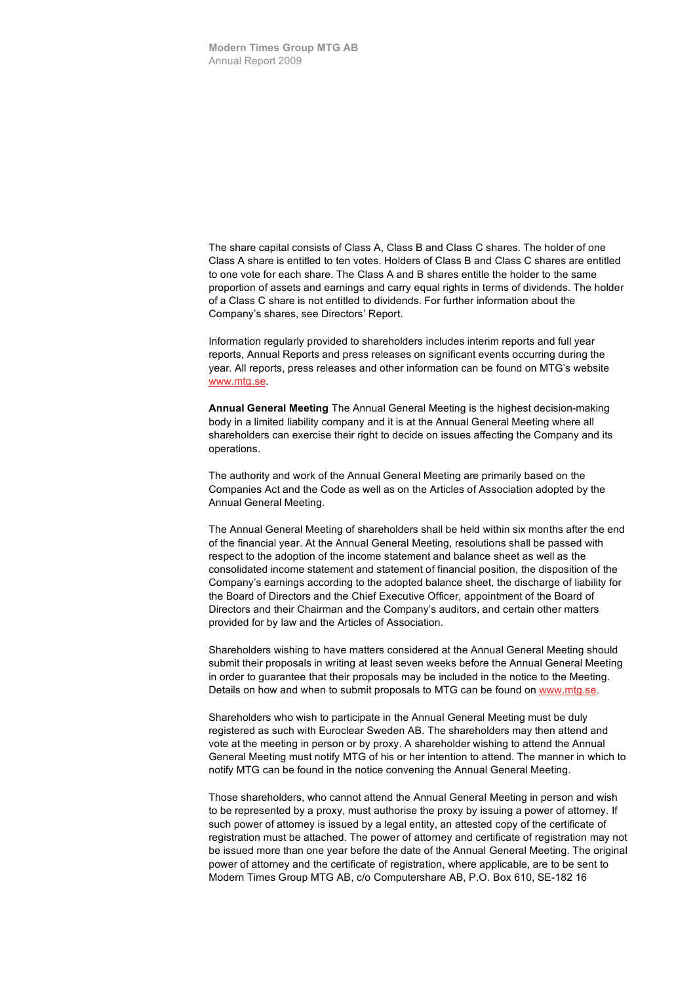The share capital consists of Class A, Class B and Class C shares. The holder of one Class A share is entitled to ten votes. Holders of Class B and Class C shares are entitled to one vote for each share. The Class A and B shares entitle the holder to the same proportion of assets and earnings and carry equal rights in terms of dividends. The holder of a Class C share is not entitled to dividends. For further information about the Company's shares, see Directors' Report.

Information regularly provided to shareholders includes interim reports and full year reports, Annual Reports and press releases on significant events occurring during the year. All reports, press releases and other information can be found on MTG's website www.mtg.se.

**Annual General Meeting** The Annual General Meeting is the highest decision-making body in a limited liability company and it is at the Annual General Meeting where all shareholders can exercise their right to decide on issues affecting the Company and its operations.

The authority and work of the Annual General Meeting are primarily based on the Companies Act and the Code as well as on the Articles of Association adopted by the Annual General Meeting.

The Annual General Meeting of shareholders shall be held within six months after the end of the financial year. At the Annual General Meeting, resolutions shall be passed with respect to the adoption of the income statement and balance sheet as well as the consolidated income statement and statement of financial position, the disposition of the Company's earnings according to the adopted balance sheet, the discharge of liability for the Board of Directors and the Chief Executive Officer, appointment of the Board of Directors and their Chairman and the Company's auditors, and certain other matters provided for by law and the Articles of Association.

Shareholders wishing to have matters considered at the Annual General Meeting should submit their proposals in writing at least seven weeks before the Annual General Meeting in order to guarantee that their proposals may be included in the notice to the Meeting. Details on how and when to submit proposals to MTG can be found on www.mtg.se.

Shareholders who wish to participate in the Annual General Meeting must be duly registered as such with Euroclear Sweden AB. The shareholders may then attend and vote at the meeting in person or by proxy. A shareholder wishing to attend the Annual General Meeting must notify MTG of his or her intention to attend. The manner in which to notify MTG can be found in the notice convening the Annual General Meeting.

Those shareholders, who cannot attend the Annual General Meeting in person and wish to be represented by a proxy, must authorise the proxy by issuing a power of attorney. If such power of attorney is issued by a legal entity, an attested copy of the certificate of registration must be attached. The power of attorney and certificate of registration may not be issued more than one year before the date of the Annual General Meeting. The original power of attorney and the certificate of registration, where applicable, are to be sent to Modern Times Group MTG AB, c/o Computershare AB, P.O. Box 610, SE-182 16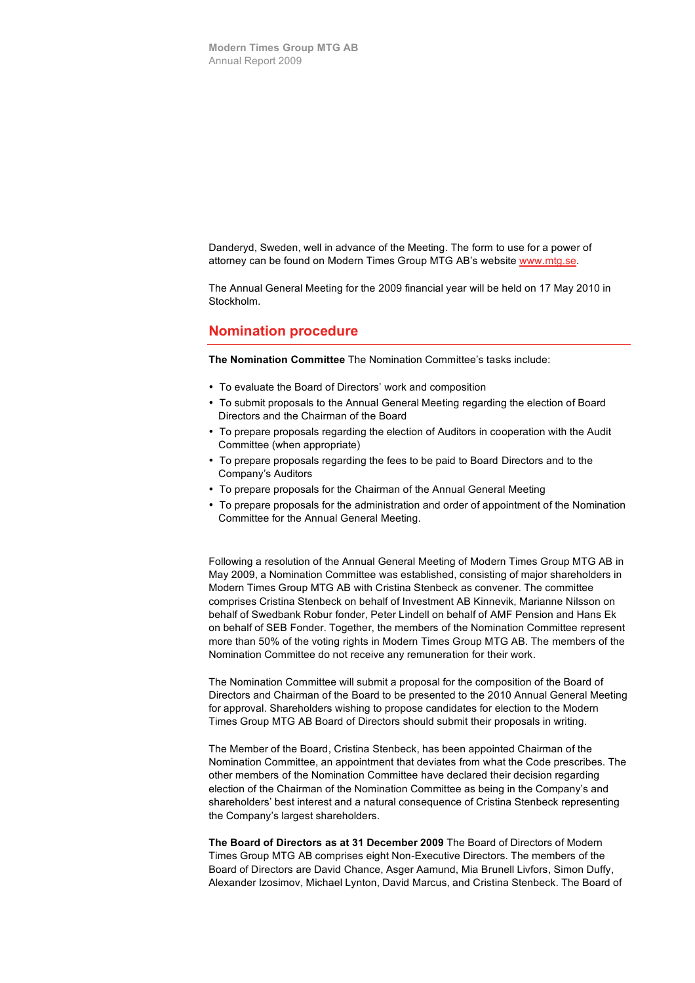Danderyd, Sweden, well in advance of the Meeting. The form to use for a power of attorney can be found on Modern Times Group MTG AB's website www.mtg.se.

The Annual General Meeting for the 2009 financial year will be held on 17 May 2010 in Stockholm.

#### **Nomination procedure**

**The Nomination Committee** The Nomination Committee's tasks include:

- To evaluate the Board of Directors' work and composition
- To submit proposals to the Annual General Meeting regarding the election of Board Directors and the Chairman of the Board
- To prepare proposals regarding the election of Auditors in cooperation with the Audit Committee (when appropriate)
- To prepare proposals regarding the fees to be paid to Board Directors and to the Company's Auditors
- To prepare proposals for the Chairman of the Annual General Meeting
- To prepare proposals for the administration and order of appointment of the Nomination Committee for the Annual General Meeting.

Following a resolution of the Annual General Meeting of Modern Times Group MTG AB in May 2009, a Nomination Committee was established, consisting of major shareholders in Modern Times Group MTG AB with Cristina Stenbeck as convener. The committee comprises Cristina Stenbeck on behalf of Investment AB Kinnevik, Marianne Nilsson on behalf of Swedbank Robur fonder, Peter Lindell on behalf of AMF Pension and Hans Ek on behalf of SEB Fonder. Together, the members of the Nomination Committee represent more than 50% of the voting rights in Modern Times Group MTG AB. The members of the Nomination Committee do not receive any remuneration for their work.

The Nomination Committee will submit a proposal for the composition of the Board of Directors and Chairman of the Board to be presented to the 2010 Annual General Meeting for approval. Shareholders wishing to propose candidates for election to the Modern Times Group MTG AB Board of Directors should submit their proposals in writing.

The Member of the Board, Cristina Stenbeck, has been appointed Chairman of the Nomination Committee, an appointment that deviates from what the Code prescribes. The other members of the Nomination Committee have declared their decision regarding election of the Chairman of the Nomination Committee as being in the Company's and shareholders' best interest and a natural consequence of Cristina Stenbeck representing the Company's largest shareholders.

**The Board of Directors as at 31 December 2009** The Board of Directors of Modern Times Group MTG AB comprises eight Non-Executive Directors. The members of the Board of Directors are David Chance, Asger Aamund, Mia Brunell Livfors, Simon Duffy, Alexander Izosimov, Michael Lynton, David Marcus, and Cristina Stenbeck. The Board of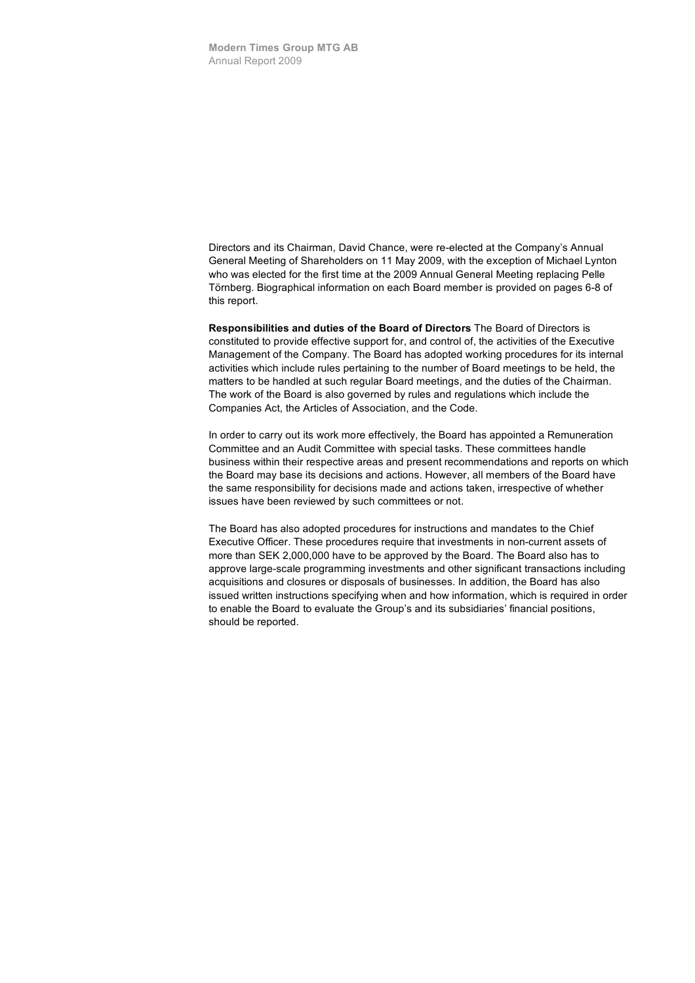Directors and its Chairman, David Chance, were re-elected at the Company's Annual General Meeting of Shareholders on 11 May 2009, with the exception of Michael Lynton who was elected for the first time at the 2009 Annual General Meeting replacing Pelle Törnberg. Biographical information on each Board member is provided on pages 6-8 of this report.

**Responsibilities and duties of the Board of Directors** The Board of Directors is constituted to provide effective support for, and control of, the activities of the Executive Management of the Company. The Board has adopted working procedures for its internal activities which include rules pertaining to the number of Board meetings to be held, the matters to be handled at such regular Board meetings, and the duties of the Chairman. The work of the Board is also governed by rules and regulations which include the Companies Act, the Articles of Association, and the Code.

In order to carry out its work more effectively, the Board has appointed a Remuneration Committee and an Audit Committee with special tasks. These committees handle business within their respective areas and present recommendations and reports on which the Board may base its decisions and actions. However, all members of the Board have the same responsibility for decisions made and actions taken, irrespective of whether issues have been reviewed by such committees or not.

The Board has also adopted procedures for instructions and mandates to the Chief Executive Officer. These procedures require that investments in non-current assets of more than SEK 2,000,000 have to be approved by the Board. The Board also has to approve large-scale programming investments and other significant transactions including acquisitions and closures or disposals of businesses. In addition, the Board has also issued written instructions specifying when and how information, which is required in order to enable the Board to evaluate the Group's and its subsidiaries' financial positions, should be reported.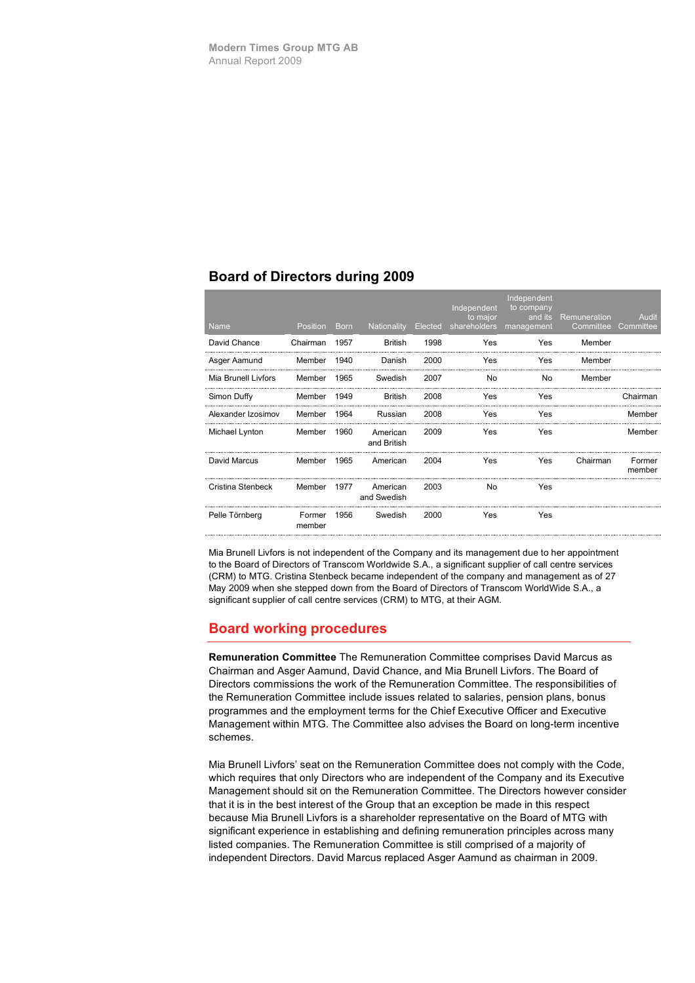### **Board of Directors during 2009**

|  | <b>Name</b>         | <b>Position</b>  | <b>Born</b> | Nationality             | Elected | Independent<br>to major<br>shareholders | Independent<br>to company<br>and its<br>management | Remuneration<br>Committee | Audit<br>Committee |
|--|---------------------|------------------|-------------|-------------------------|---------|-----------------------------------------|----------------------------------------------------|---------------------------|--------------------|
|  | David Chance        | Chairman         | 1957        | <b>British</b>          | 1998    | Yes                                     | Yes                                                | Member                    |                    |
|  | Asger Aamund        | Member           | 1940        | Danish                  | 2000    | Yes                                     | Yes                                                | Member                    |                    |
|  | Mia Brunell Livfors | Member           | 1965        | Swedish                 | 2007    | No                                      | No                                                 | Member                    |                    |
|  | Simon Duffy         | Member           | 1949        | <b>British</b>          | 2008    | Yes                                     | Yes                                                |                           | Chairman           |
|  | Alexander Izosimov  | Member           | 1964        | Russian                 | 2008    | Yes                                     | Yes                                                |                           | Member             |
|  | Michael Lynton      | Member           | 1960        | American<br>and British | 2009    | Yes                                     | Yes                                                |                           | Member             |
|  | David Marcus        | Member           | 1965        | American                | 2004    | Yes                                     | Yes                                                | Chairman                  | Former<br>member   |
|  | Cristina Stenbeck   | Member           | 1977        | American<br>and Swedish | 2003    | No                                      | Yes                                                |                           |                    |
|  | Pelle Törnberg      | Former<br>member | 1956        | Swedish                 | 2000    | Yes                                     | Yes                                                |                           |                    |
|  |                     |                  |             |                         |         |                                         |                                                    |                           |                    |

Mia Brunell Livfors is not independent of the Company and its management due to her appointment to the Board of Directors of Transcom Worldwide S.A., a significant supplier of call centre services (CRM) to MTG. Cristina Stenbeck became independent of the company and management as of 27 May 2009 when she stepped down from the Board of Directors of Transcom WorldWide S.A., a significant supplier of call centre services (CRM) to MTG, at their AGM.

# **Board working procedures**

**Remuneration Committee** The Remuneration Committee comprises David Marcus as Chairman and Asger Aamund, David Chance, and Mia Brunell Livfors. The Board of Directors commissions the work of the Remuneration Committee. The responsibilities of the Remuneration Committee include issues related to salaries, pension plans, bonus programmes and the employment terms for the Chief Executive Officer and Executive Management within MTG. The Committee also advises the Board on long-term incentive schemes.

Mia Brunell Livfors' seat on the Remuneration Committee does not comply with the Code, which requires that only Directors who are independent of the Company and its Executive Management should sit on the Remuneration Committee. The Directors however consider that it is in the best interest of the Group that an exception be made in this respect because Mia Brunell Livfors is a shareholder representative on the Board of MTG with significant experience in establishing and defining remuneration principles across many listed companies. The Remuneration Committee is still comprised of a majority of independent Directors. David Marcus replaced Asger Aamund as chairman in 2009.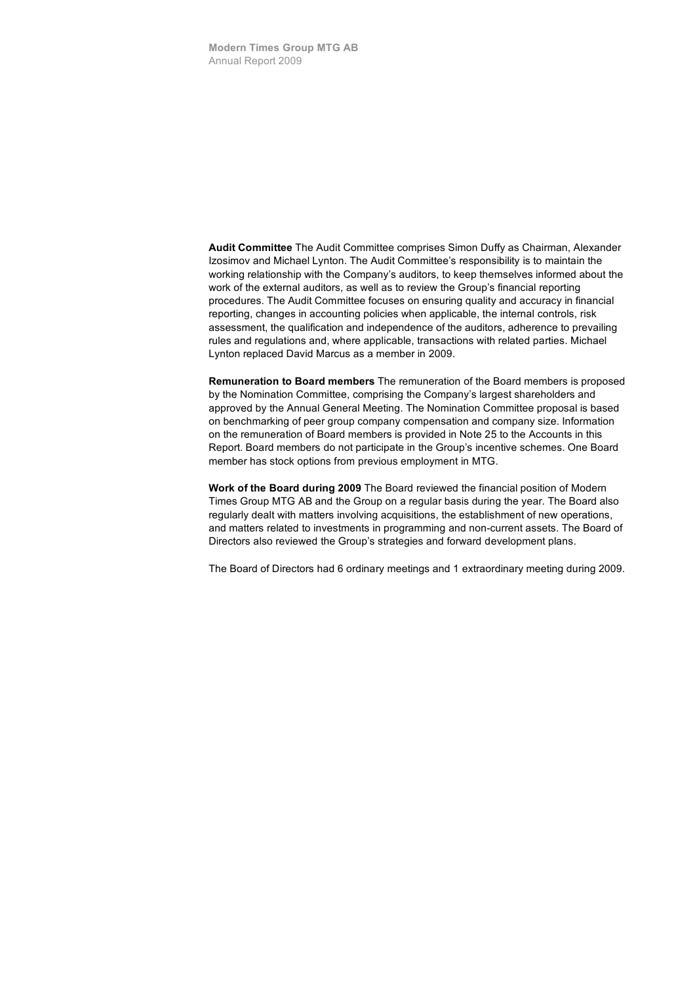**Audit Committee** The Audit Committee comprises Simon Duffy as Chairman, Alexander Izosimov and Michael Lynton. The Audit Committee's responsibility is to maintain the working relationship with the Company's auditors, to keep themselves informed about the work of the external auditors, as well as to review the Group's financial reporting procedures. The Audit Committee focuses on ensuring quality and accuracy in financial reporting, changes in accounting policies when applicable, the internal controls, risk assessment, the qualification and independence of the auditors, adherence to prevailing rules and regulations and, where applicable, transactions with related parties. Michael Lynton replaced David Marcus as a member in 2009.

**Remuneration to Board members** The remuneration of the Board members is proposed by the Nomination Committee, comprising the Company's largest shareholders and approved by the Annual General Meeting. The Nomination Committee proposal is based on benchmarking of peer group company compensation and company size. Information on the remuneration of Board members is provided in Note 25 to the Accounts in this Report. Board members do not participate in the Group's incentive schemes. One Board member has stock options from previous employment in MTG.

**Work of the Board during 2009** The Board reviewed the financial position of Modern Times Group MTG AB and the Group on a regular basis during the year. The Board also regularly dealt with matters involving acquisitions, the establishment of new operations, and matters related to investments in programming and non-current assets. The Board of Directors also reviewed the Group's strategies and forward development plans.

The Board of Directors had 6 ordinary meetings and 1 extraordinary meeting during 2009.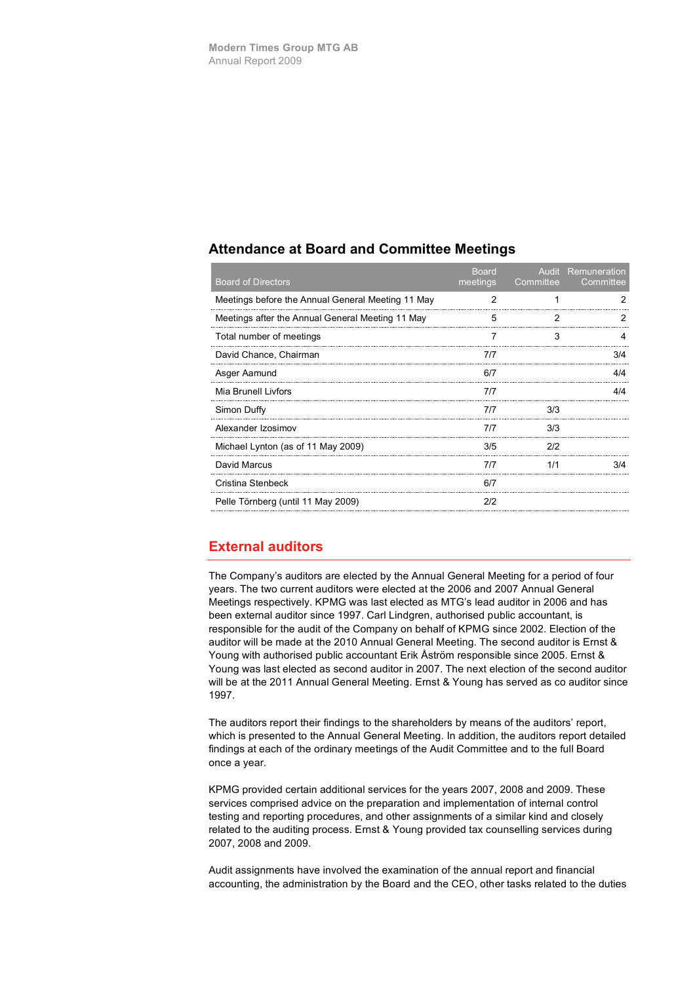### **Attendance at Board and Committee Meetings**

| <b>Board of Directors</b>                         | <b>Board</b><br>meetings | Committee | <b>Audit</b> Remuneration<br>Committee |
|---------------------------------------------------|--------------------------|-----------|----------------------------------------|
| Meetings before the Annual General Meeting 11 May | 2                        |           |                                        |
| Meetings after the Annual General Meeting 11 May  | 5                        |           |                                        |
| Total number of meetings                          |                          | З         |                                        |
| David Chance, Chairman                            | 7/7                      |           | 3/4                                    |
| Asger Aamund                                      | 6/7                      |           | 4/4                                    |
| Mia Brunell Livfors                               | 7/7                      |           | 4/4                                    |
| Simon Duffy                                       | 7/7                      | 3/3       |                                        |
| Alexander Izosimov                                | 7/7                      | 3/3       |                                        |
| Michael Lynton (as of 11 May 2009)                | 3/5                      | 2/2       |                                        |
| David Marcus                                      | 717                      |           |                                        |
| Cristina Stenbeck                                 | 6/7                      |           |                                        |
| Pelle Törnberg (until 11 May 2009)                | 212                      |           |                                        |

# **External auditors**

The Company's auditors are elected by the Annual General Meeting for a period of four years. The two current auditors were elected at the 2006 and 2007 Annual General Meetings respectively. KPMG was last elected as MTG's lead auditor in 2006 and has been external auditor since 1997. Carl Lindgren, authorised public accountant, is responsible for the audit of the Company on behalf of KPMG since 2002. Election of the auditor will be made at the 2010 Annual General Meeting. The second auditor is Ernst & Young with authorised public accountant Erik Åström responsible since 2005. Ernst & Young was last elected as second auditor in 2007. The next election of the second auditor will be at the 2011 Annual General Meeting. Ernst & Young has served as co auditor since 1997.

The auditors report their findings to the shareholders by means of the auditors' report, which is presented to the Annual General Meeting. In addition, the auditors report detailed findings at each of the ordinary meetings of the Audit Committee and to the full Board once a year.

KPMG provided certain additional services for the years 2007, 2008 and 2009. These services comprised advice on the preparation and implementation of internal control testing and reporting procedures, and other assignments of a similar kind and closely related to the auditing process. Ernst & Young provided tax counselling services during 2007, 2008 and 2009.

Audit assignments have involved the examination of the annual report and financial accounting, the administration by the Board and the CEO, other tasks related to the duties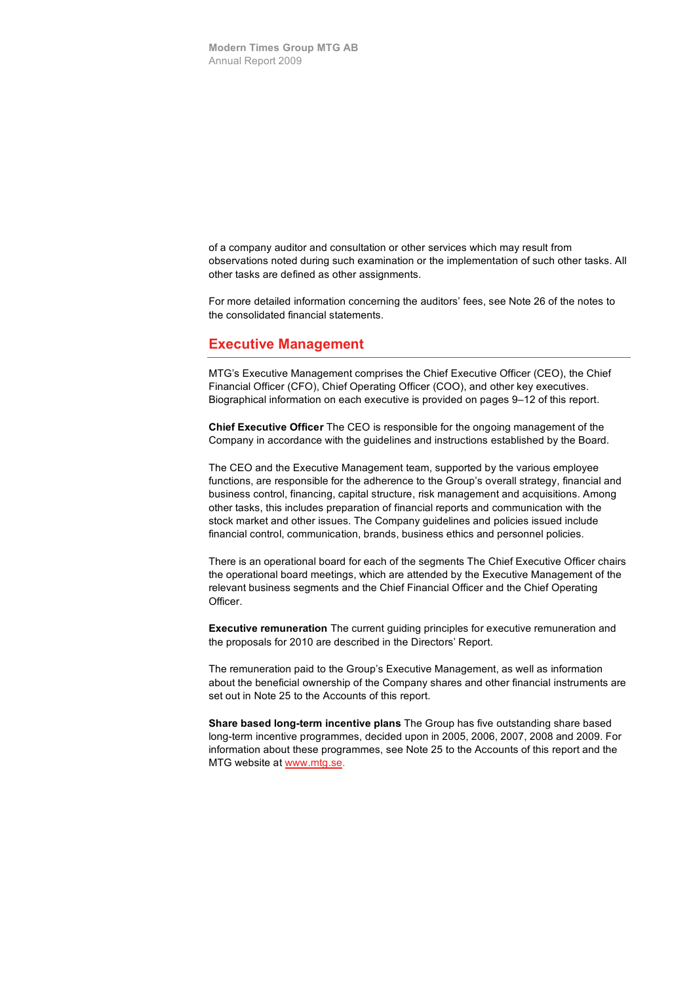of a company auditor and consultation or other services which may result from observations noted during such examination or the implementation of such other tasks. All other tasks are defined as other assignments.

For more detailed information concerning the auditors' fees, see Note 26 of the notes to the consolidated financial statements.

#### **Executive Management**

MTG's Executive Management comprises the Chief Executive Officer (CEO), the Chief Financial Officer (CFO), Chief Operating Officer (COO), and other key executives. Biographical information on each executive is provided on pages 9–12 of this report.

**Chief Executive Officer** The CEO is responsible for the ongoing management of the Company in accordance with the guidelines and instructions established by the Board.

The CEO and the Executive Management team, supported by the various employee functions, are responsible for the adherence to the Group's overall strategy, financial and business control, financing, capital structure, risk management and acquisitions. Among other tasks, this includes preparation of financial reports and communication with the stock market and other issues. The Company guidelines and policies issued include financial control, communication, brands, business ethics and personnel policies.

There is an operational board for each of the segments The Chief Executive Officer chairs the operational board meetings, which are attended by the Executive Management of the relevant business segments and the Chief Financial Officer and the Chief Operating Officer.

**Executive remuneration** The current guiding principles for executive remuneration and the proposals for 2010 are described in the Directors' Report.

The remuneration paid to the Group's Executive Management, as well as information about the beneficial ownership of the Company shares and other financial instruments are set out in Note 25 to the Accounts of this report.

**Share based long-term incentive plans** The Group has five outstanding share based long-term incentive programmes, decided upon in 2005, 2006, 2007, 2008 and 2009. For information about these programmes, see Note 25 to the Accounts of this report and the MTG website at www.mtg.se.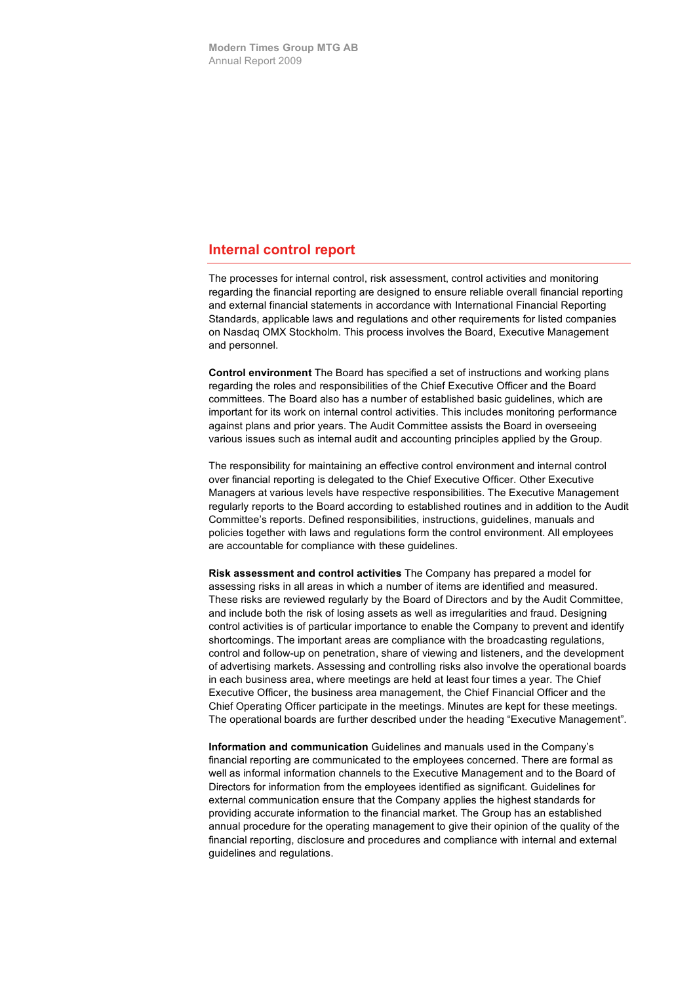#### **Internal control report**

The processes for internal control, risk assessment, control activities and monitoring regarding the financial reporting are designed to ensure reliable overall financial reporting and external financial statements in accordance with International Financial Reporting Standards, applicable laws and regulations and other requirements for listed companies on Nasdaq OMX Stockholm. This process involves the Board, Executive Management and personnel.

**Control environment** The Board has specified a set of instructions and working plans regarding the roles and responsibilities of the Chief Executive Officer and the Board committees. The Board also has a number of established basic guidelines, which are important for its work on internal control activities. This includes monitoring performance against plans and prior years. The Audit Committee assists the Board in overseeing various issues such as internal audit and accounting principles applied by the Group.

The responsibility for maintaining an effective control environment and internal control over financial reporting is delegated to the Chief Executive Officer. Other Executive Managers at various levels have respective responsibilities. The Executive Management regularly reports to the Board according to established routines and in addition to the Audit Committee's reports. Defined responsibilities, instructions, guidelines, manuals and policies together with laws and regulations form the control environment. All employees are accountable for compliance with these guidelines.

**Risk assessment and control activities** The Company has prepared a model for assessing risks in all areas in which a number of items are identified and measured. These risks are reviewed regularly by the Board of Directors and by the Audit Committee, and include both the risk of losing assets as well as irregularities and fraud. Designing control activities is of particular importance to enable the Company to prevent and identify shortcomings. The important areas are compliance with the broadcasting regulations, control and follow-up on penetration, share of viewing and listeners, and the development of advertising markets. Assessing and controlling risks also involve the operational boards in each business area, where meetings are held at least four times a year. The Chief Executive Officer, the business area management, the Chief Financial Officer and the Chief Operating Officer participate in the meetings. Minutes are kept for these meetings. The operational boards are further described under the heading "Executive Management".

**Information and communication** Guidelines and manuals used in the Company's financial reporting are communicated to the employees concerned. There are formal as well as informal information channels to the Executive Management and to the Board of Directors for information from the employees identified as significant. Guidelines for external communication ensure that the Company applies the highest standards for providing accurate information to the financial market. The Group has an established annual procedure for the operating management to give their opinion of the quality of the financial reporting, disclosure and procedures and compliance with internal and external guidelines and regulations.